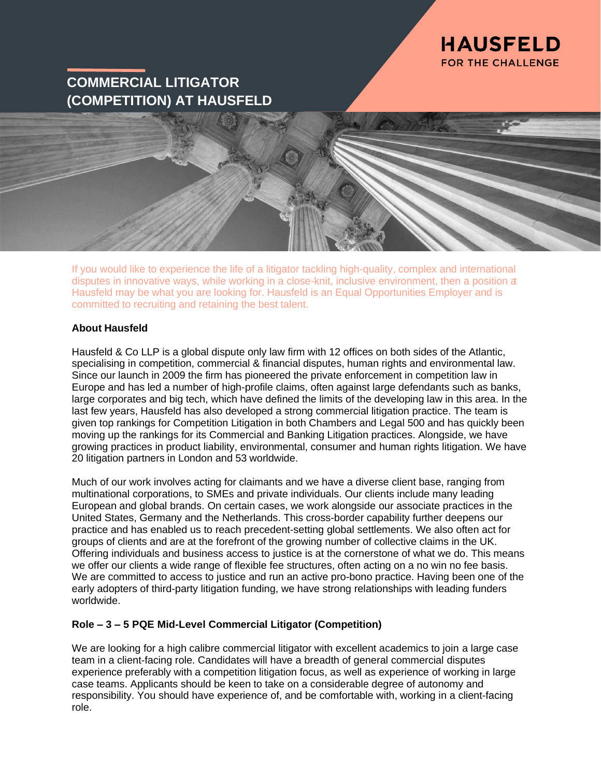

# **COMMERCIAL LITIGATOR (COMPETITION) AT HAUSFELD**

If you would like to experience the life of a litigator tackling high-quality, complex and international disputes in innovative ways, while working in a close-knit, inclusive environment, then a position a Hausfeld may be what you are looking for. Hausfeld is an Equal Opportunities Employer and is committed to recruiting and retaining the best talent.

#### **About Hausfeld**

Hausfeld & Co LLP is a global dispute only law firm with 12 offices on both sides of the Atlantic, specialising in competition, commercial & financial disputes, human rights and environmental law. Since our launch in 2009 the firm has pioneered the private enforcement in competition law in Europe and has led a number of high-profile claims, often against large defendants such as banks, large corporates and big tech, which have defined the limits of the developing law in this area. In the last few years, Hausfeld has also developed a strong commercial litigation practice. The team is given top rankings for Competition Litigation in both Chambers and Legal 500 and has quickly been moving up the rankings for its Commercial and Banking Litigation practices. Alongside, we have growing practices in product liability, environmental, consumer and human rights litigation. We have 20 litigation partners in London and 53 worldwide.

Much of our work involves acting for claimants and we have a diverse client base, ranging from multinational corporations, to SMEs and private individuals. Our clients include many leading European and global brands. On certain cases, we work alongside our associate practices in the United States, Germany and the Netherlands. This cross-border capability further deepens our practice and has enabled us to reach precedent-setting global settlements. We also often act for groups of clients and are at the forefront of the growing number of collective claims in the UK. Offering individuals and business access to justice is at the cornerstone of what we do. This means we offer our clients a wide range of flexible fee structures, often acting on a no win no fee basis. We are committed to access to justice and run an active pro-bono practice. Having been one of the early adopters of third-party litigation funding, we have strong relationships with leading funders worldwide.

## **Role – 3 – 5 PQE Mid-Level Commercial Litigator (Competition)**

We are looking for a high calibre commercial litigator with excellent academics to join a large case team in a client-facing role. Candidates will have a breadth of general commercial disputes experience preferably with a competition litigation focus, as well as experience of working in large case teams. Applicants should be keen to take on a considerable degree of autonomy and responsibility. You should have experience of, and be comfortable with, working in a client-facing role.